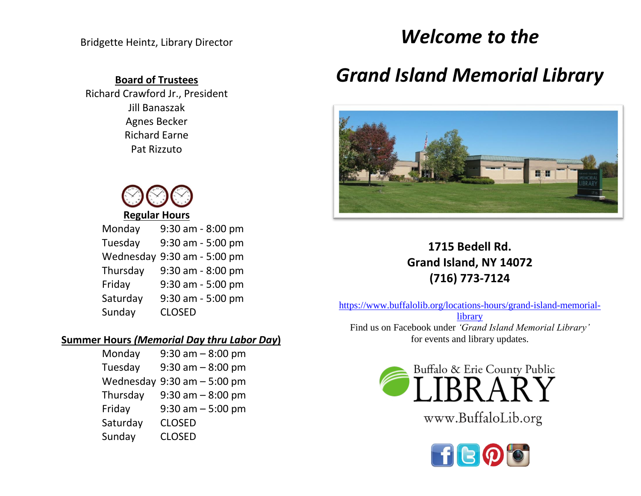## **Board of Trustees**

Richard Crawford Jr., President Jill Banaszak Agnes Becker Richard Earne Pat Rizzuto



| Monday    | 9:30 am - 8:00 pm |
|-----------|-------------------|
| Tuesday   | 9:30 am - 5:00 pm |
| Wednesday | 9:30 am - 5:00 pm |
| Thursday  | 9:30 am - 8:00 pm |
| Friday    | 9:30 am - 5:00 pm |
| Saturday  | 9:30 am - 5:00 pm |
| Sunday    | <b>CLOSED</b>     |

## **Summer Hours** *(Memorial Day thru Labor Day***)**

| Monday   | $9:30$ am $-8:00$ pm           |
|----------|--------------------------------|
| Tuesday  | $9:30$ am $-8:00$ pm           |
|          | Wednesday $9:30$ am $-5:00$ pm |
| Thursday | $9:30$ am $-8:00$ pm           |
| Friday   | $9:30$ am $-5:00$ pm           |
| Saturday | <b>CLOSED</b>                  |
| Sunday   | <b>CLOSED</b>                  |

# *Welcome to the*

# *Grand Island Memorial Library*



# **1715 Bedell Rd. Grand Island, NY 14072 (716) 773-7124**

[https://www.buffalolib.org/locations-hours/grand-island-memorial](https://www.buffalolib.org/locations-hours/grand-island-memorial-library)[library](https://www.buffalolib.org/locations-hours/grand-island-memorial-library) Find us on Facebook under *'Grand Island Memorial Library'* for events and library updates.



www.BuffaloLib.org